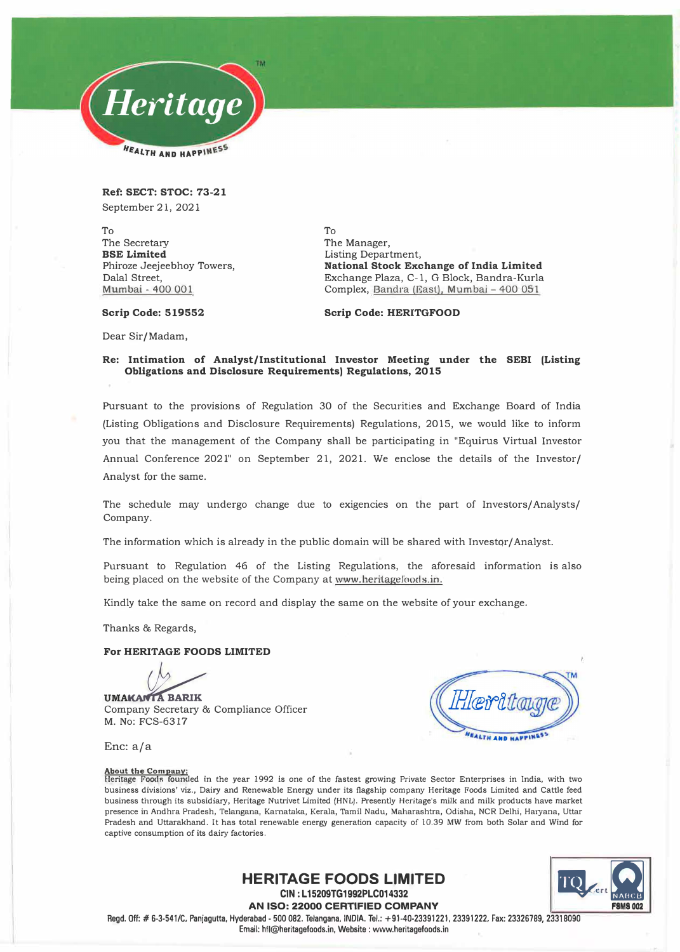

**Ref: SECT: STOC: 73-21**  September 21, 2021

To The Secretary **BSE Limited**  Phiroze Jeejeebhoy Towers, Dalal Street, Mumbai - 400 001

To The Manager, Listing Department; **National Stock Exchange of India Limited**  Exchange Plaza, C-1, G Block, Bandra-Kurla Complex, Bandra (East), Mumbai - 400 051

**Scrip Code: 519552** 

**Scrip Code: HERITGFOOD** 

Dear Sir/Madam,

### **Re: Intimation of Analyst/Institutional Investor Meeting under the SEBI (Listing Obligations and Disclosure Requirements) Regulations, 2015**

Pursuant to the provisions of Regulation 30 of the Securities and Exchange Board of India (Listing Obligations and Disclosure Requirements) Regulations, 2015, we would like to inform you that the management of the Company shall be participating in "Equirus Virtual Investor Annual Conference 2021" on September 21, 2021. We enclose the details of the Investor/ Analyst for the same.

The schedule may undergo change due to exigencies on the part of Investors/ Analysts/ Company.

The information which is already in the public domain will be shared with Investor/ Analyst.

Pursuant to Regulation 46 of the Listing Regulations, the aforesaid information is also being placed on the website of the Company at www.beritagefoods.in.

Kindly take the same on record and display the same on the website of your exchange.

Thanks & Regards,

### **For HERITAGE FOODS LIMITED**

**UMAKANTA BARIK** Company Secretary & Compliance Officer M. No: FCS-6317

**EALTH AND HAPPING** 

Enc: a/a

#### **About the Company:**

Heritage Foods founded in the year 1992 is one of the fastest growing Private Sector Enterprises in India, with two business divisions' viz., Dairy and Renewable Energy under its flagship company Heritage Foods Limited and Cattle feed business through its subsidiary, Heritage Nutrivet Limited (HNL). Presently Heritage's milk and milk products have market presence in Andhra Pradesh, Telangana, Kamataka, Kerala, Tamil Nadu, Maharashtra, Odisha, NCR Delhi, Haryana, Uttar Pradesh and Uttarakhand. It has total renewable energy generation capacity of 10.39 MW from both Solar and Wind for captive consumption of its dairy factories.



**AN ISO: 22000 CERTIFIED COMPANY**  Regd. Off:# 6-3-541/C, Panjagutta, Hyderabad - 500 082. Telangana, INDIA. Tel.: +91-40-23391221, 23391222, Fax: 23326789, 23318090 Email: hfl@heritagefoods.in, Website : www.heritagefoods.in